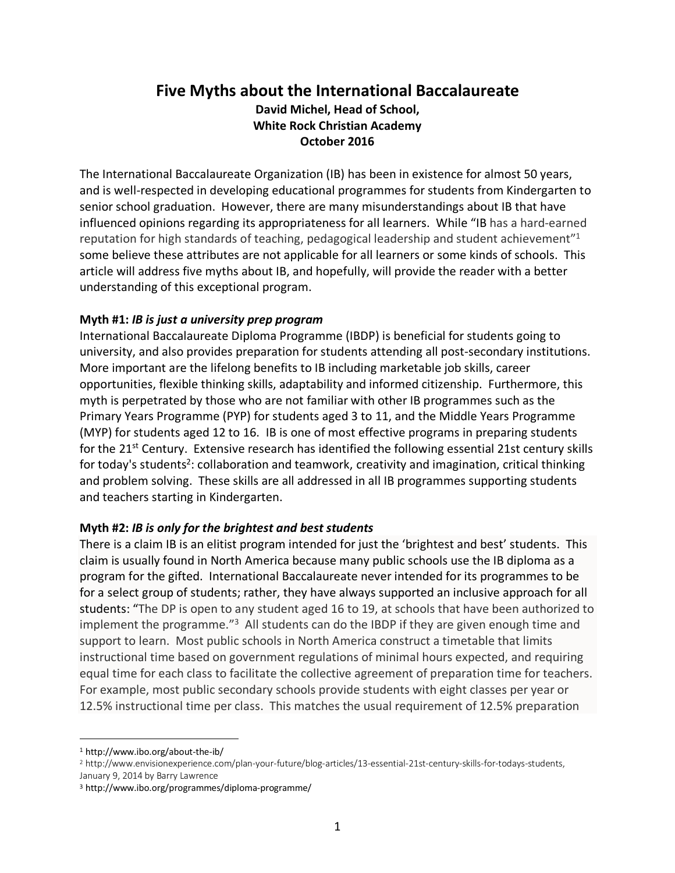# **Five Myths about the International Baccalaureate**

**David Michel, Head of School, White Rock Christian Academy October 2016**

The International Baccalaureate Organization (IB) has been in existence for almost 50 years, and is well-respected in developing educational programmes for students from Kindergarten to senior school graduation. However, there are many misunderstandings about IB that have influenced opinions regarding its appropriateness for all learners. While "IB has a hard-earned reputation for high standards of teaching, pedagogical leadership and student achievement"1 some believe these attributes are not applicable for all learners or some kinds of schools. This article will address five myths about IB, and hopefully, will provide the reader with a better understanding of this exceptional program.

## **Myth #1:** *IB is just a university prep program*

International Baccalaureate Diploma Programme (IBDP) is beneficial for students going to university, and also provides preparation for students attending all post-secondary institutions. More important are the lifelong benefits to IB including marketable job skills, career opportunities, flexible thinking skills, adaptability and informed citizenship. Furthermore, this myth is perpetrated by those who are not familiar with other IB programmes such as the Primary Years Programme (PYP) for students aged 3 to 11, and the Middle Years Programme (MYP) for students aged 12 to 16. IB is one of most effective programs in preparing students for the 21<sup>st</sup> Century. Extensive research has identified the following essential 21st century skills for today's students<sup>2</sup>: collaboration and teamwork, creativity and imagination, critical thinking and problem solving. These skills are all addressed in all IB programmes supporting students and teachers starting in Kindergarten.

#### **Myth #2:** *IB is only for the brightest and best students*

There is a claim IB is an elitist program intended for just the 'brightest and best' students. This claim is usually found in North America because many public schools use the IB diploma as a program for the gifted. International Baccalaureate never intended for its programmes to be for a select group of students; rather, they have always supported an inclusive approach for all students: "The DP is open to any student aged 16 to 19, at schools that have been authorized to implement the programme."<sup>3</sup> All students can do the IBDP if they are given enough time and support to learn. Most public schools in North America construct a timetable that limits instructional time based on government regulations of minimal hours expected, and requiring equal time for each class to facilitate the collective agreement of preparation time for teachers. For example, most public secondary schools provide students with eight classes per year or 12.5% instructional time per class. This matches the usual requirement of 12.5% preparation

 <sup>1</sup> http://www.ibo.org/about-the-ib/

<sup>2</sup> http://www.envisionexperience.com/plan-your-future/blog-articles/13-essential-21st-century-skills-for-todays-students, January 9, 2014 by Barry Lawrence

<sup>3</sup> http://www.ibo.org/programmes/diploma-programme/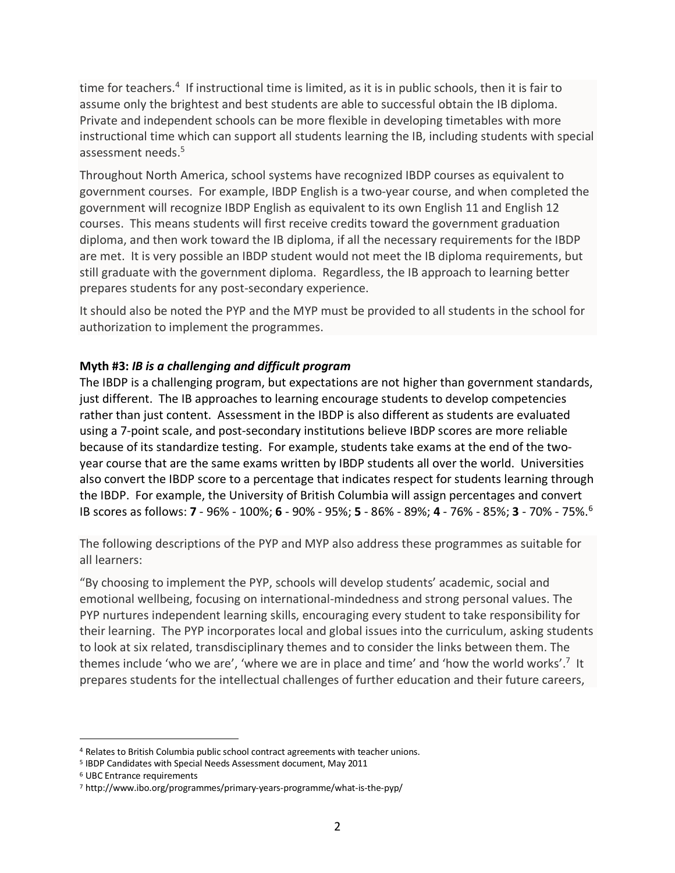time for teachers.<sup>4</sup> If instructional time is limited, as it is in public schools, then it is fair to assume only the brightest and best students are able to successful obtain the IB diploma. Private and independent schools can be more flexible in developing timetables with more instructional time which can support all students learning the IB, including students with special assessment needs.<sup>5</sup>

Throughout North America, school systems have recognized IBDP courses as equivalent to government courses. For example, IBDP English is a two-year course, and when completed the government will recognize IBDP English as equivalent to its own English 11 and English 12 courses. This means students will first receive credits toward the government graduation diploma, and then work toward the IB diploma, if all the necessary requirements for the IBDP are met. It is very possible an IBDP student would not meet the IB diploma requirements, but still graduate with the government diploma. Regardless, the IB approach to learning better prepares students for any post-secondary experience.

It should also be noted the PYP and the MYP must be provided to all students in the school for authorization to implement the programmes.

## **Myth #3:** *IB is a challenging and difficult program*

The IBDP is a challenging program, but expectations are not higher than government standards, just different. The IB approaches to learning encourage students to develop competencies rather than just content. Assessment in the IBDP is also different as students are evaluated using a 7-point scale, and post-secondary institutions believe IBDP scores are more reliable because of its standardize testing. For example, students take exams at the end of the twoyear course that are the same exams written by IBDP students all over the world. Universities also convert the IBDP score to a percentage that indicates respect for students learning through the IBDP. For example, the University of British Columbia will assign percentages and convert IB scores as follows: **7** - 96% - 100%; **6** - 90% - 95%; **5** - 86% - 89%; **4** - 76% - 85%; **3** - 70% - 75%. 6

The following descriptions of the PYP and MYP also address these programmes as suitable for all learners:

"By choosing to implement the PYP, schools will develop students' academic, social and emotional wellbeing, focusing on international-mindedness and strong personal values. The PYP nurtures independent learning skills, encouraging every student to take responsibility for their learning. The PYP incorporates local and global issues into the curriculum, asking students to look at six related, transdisciplinary themes and to consider the links between them. The themes include 'who we are', 'where we are in place and time' and 'how the world works'.<sup>7</sup> It prepares students for the intellectual challenges of further education and their future careers,

 <sup>4</sup> Relates to British Columbia public school contract agreements with teacher unions.

<sup>5</sup> IBDP Candidates with Special Needs Assessment document, May 2011

<sup>6</sup> UBC Entrance requirements

<sup>7</sup> http://www.ibo.org/programmes/primary-years-programme/what-is-the-pyp/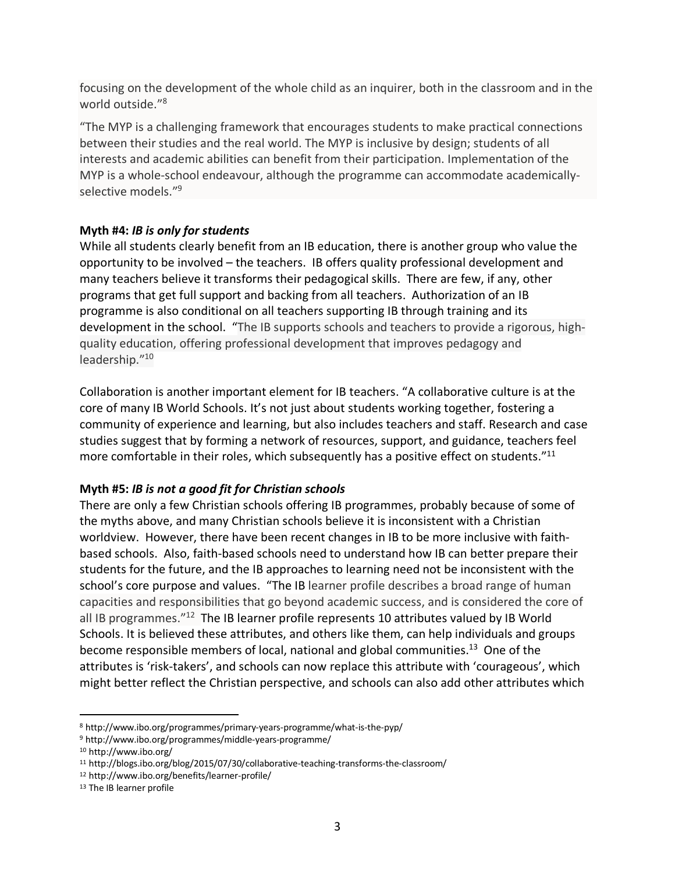focusing on the development of the whole child as an inquirer, both in the classroom and in the world outside."8

"The MYP is a challenging framework that encourages students to make practical connections between their studies and the real world. The MYP is inclusive by design; students of all interests and academic abilities can benefit from their participation. Implementation of the MYP is a whole-school endeavour, although the programme can accommodate academicallyselective models."9

## **Myth #4:** *IB is only for students*

While all students clearly benefit from an IB education, there is another group who value the opportunity to be involved – the teachers. IB offers quality professional development and many teachers believe it transforms their pedagogical skills. There are few, if any, other programs that get full support and backing from all teachers. Authorization of an IB programme is also conditional on all teachers supporting IB through training and its development in the school. "The IB supports schools and teachers to provide a rigorous, highquality education, offering professional development that improves pedagogy and leadership."10

Collaboration is another important element for IB teachers. "A collaborative culture is at the core of many IB World Schools. It's not just about students working together, fostering a community of experience and learning, but also includes teachers and staff. Research and case studies suggest that by forming a network of resources, support, and guidance, teachers feel more comfortable in their roles, which subsequently has a positive effect on students."<sup>11</sup>

# **Myth #5:** *IB is not a good fit for Christian schools*

There are only a few Christian schools offering IB programmes, probably because of some of the myths above, and many Christian schools believe it is inconsistent with a Christian worldview. However, there have been recent changes in IB to be more inclusive with faithbased schools. Also, faith-based schools need to understand how IB can better prepare their students for the future, and the IB approaches to learning need not be inconsistent with the school's core purpose and values. "The IB learner profile describes a broad range of human capacities and responsibilities that go beyond academic success, and is considered the core of all IB programmes."<sup>12</sup> The IB learner profile represents 10 attributes valued by IB World Schools. It is believed these attributes, and others like them, can help individuals and groups become responsible members of local, national and global communities.<sup>13</sup> One of the attributes is 'risk-takers', and schools can now replace this attribute with 'courageous', which might better reflect the Christian perspective, and schools can also add other attributes which

 <sup>8</sup> http://www.ibo.org/programmes/primary-years-programme/what-is-the-pyp/

<sup>9</sup> http://www.ibo.org/programmes/middle-years-programme/

<sup>10</sup> http://www.ibo.org/

<sup>11</sup> http://blogs.ibo.org/blog/2015/07/30/collaborative-teaching-transforms-the-classroom/

<sup>12</sup> http://www.ibo.org/benefits/learner-profile/

<sup>13</sup> The IB learner profile